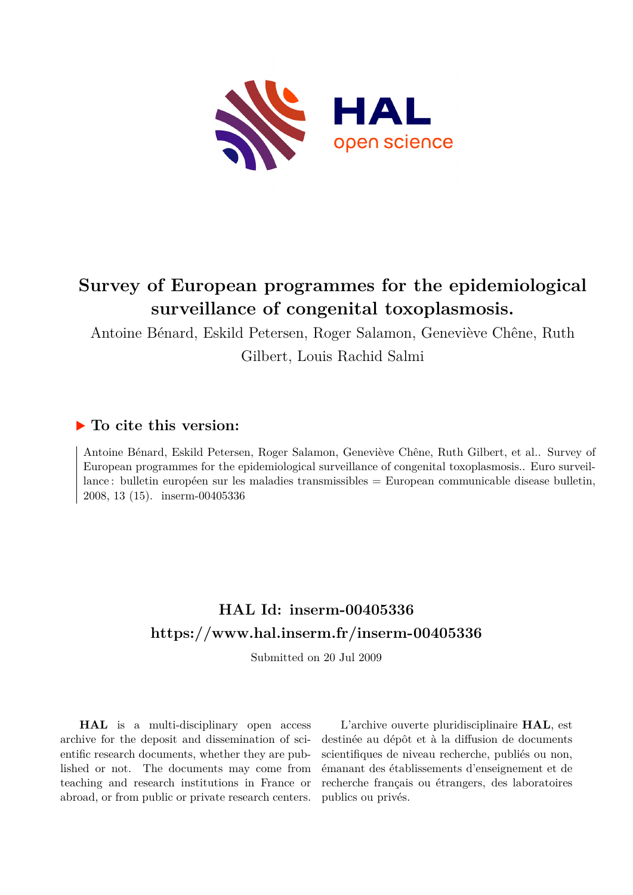

# **Survey of European programmes for the epidemiological surveillance of congenital toxoplasmosis.**

Antoine Bénard, Eskild Petersen, Roger Salamon, Geneviève Chêne, Ruth Gilbert, Louis Rachid Salmi

## **To cite this version:**

Antoine Bénard, Eskild Petersen, Roger Salamon, Geneviève Chêne, Ruth Gilbert, et al.. Survey of European programmes for the epidemiological surveillance of congenital toxoplasmosis.. Euro surveillance : bulletin européen sur les maladies transmissibles = European communicable disease bulletin, 2008, 13 (15). inserm-00405336

## **HAL Id: inserm-00405336 <https://www.hal.inserm.fr/inserm-00405336>**

Submitted on 20 Jul 2009

**HAL** is a multi-disciplinary open access archive for the deposit and dissemination of scientific research documents, whether they are published or not. The documents may come from teaching and research institutions in France or abroad, or from public or private research centers.

L'archive ouverte pluridisciplinaire **HAL**, est destinée au dépôt et à la diffusion de documents scientifiques de niveau recherche, publiés ou non, émanant des établissements d'enseignement et de recherche français ou étrangers, des laboratoires publics ou privés.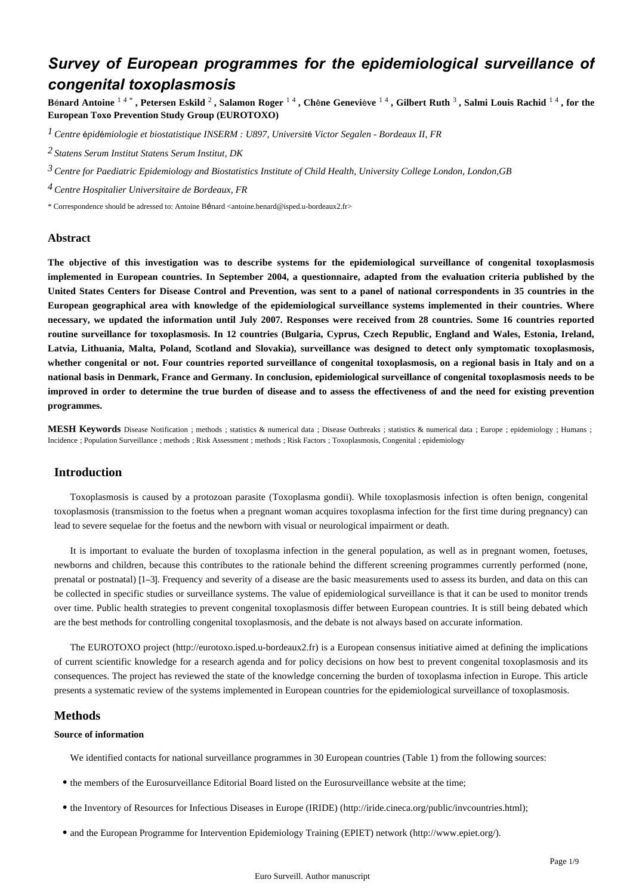## *Survey of European programmes for the epidemiological surveillance of congenital toxoplasmosis*

Bénard Antoine 14\*, Petersen Eskild 2, Salamon Roger 14, Chêne Geneviève 14, Gilbert Ruth 3, Salmi Louis Rachid 14, for the **European Toxo Prevention Study Group (EUROTOXO)**

*Centre pid miologie et biostatistique 1* <sup>é</sup> <sup>é</sup> *INSERM : U897, Universit*é *Victor Segalen - Bordeaux II, FR*

*Statens Serum Institut 2 Statens Serum Institut, DK*

*Centre for Paediatric Epidemiology and Biostatistics 3 Institute of Child Health, University College London, London,GB*

*4 Centre Hospitalier Universitaire de Bordeaux, FR*

\* Correspondence should be adressed to: Antoine Bénard <antoine.benard@isped.u-bordeaux2.fr>

#### **Abstract**

**The objective of this investigation was to describe systems for the epidemiological surveillance of congenital toxoplasmosis implemented in European countries. In September 2004, a questionnaire, adapted from the evaluation criteria published by the United States Centers for Disease Control and Prevention, was sent to a panel of national correspondents in 35 countries in the European geographical area with knowledge of the epidemiological surveillance systems implemented in their countries. Where necessary, we updated the information until July 2007. Responses were received from 28 countries. Some 16 countries reported routine surveillance for toxoplasmosis. In 12 countries (Bulgaria, Cyprus, Czech Republic, England and Wales, Estonia, Ireland, Latvia, Lithuania, Malta, Poland, Scotland and Slovakia), surveillance was designed to detect only symptomatic toxoplasmosis, whether congenital or not. Four countries reported surveillance of congenital toxoplasmosis, on a regional basis in Italy and on a national basis in Denmark, France and Germany. In conclusion, epidemiological surveillance of congenital toxoplasmosis needs to be improved in order to determine the true burden of disease and to assess the effectiveness of and the need for existing prevention programmes.**

**MESH Keywords** Disease Notification ; methods ; statistics & numerical data ; Disease Outbreaks ; statistics & numerical data ; Europe ; epidemiology ; Humans ; Incidence ; Population Surveillance ; methods ; Risk Assessment ; methods ; Risk Factors ; Toxoplasmosis, Congenital ; epidemiology

## **Introduction**

Toxoplasmosis is caused by a protozoan parasite (Toxoplasma gondii). While toxoplasmosis infection is often benign, congenital toxoplasmosis (transmission to the foetus when a pregnant woman acquires toxoplasma infection for the first time during pregnancy) can lead to severe sequelae for the foetus and the newborn with visual or neurological impairment or death.

It is important to evaluate the burden of toxoplasma infection in the general population, as well as in pregnant women, foetuses, newborns and children, because this contributes to the rationale behind the different screening programmes currently performed (none, prenatal or postnatal) [1–3]. Frequency and severity of a disease are the basic measurements used to assess its burden, and data on this can be collected in specific studies or surveillance systems. The value of epidemiological surveillance is that it can be used to monitor trends over time. Public health strategies to prevent congenital toxoplasmosis differ between European countries. It is still being debated which are the best methods for controlling congenital toxoplasmosis, and the debate is not always based on accurate information.

The EUROTOXO project (http://eurotoxo.isped.u-bordeaux2.fr) is a European consensus initiative aimed at defining the implications of current scientific knowledge for a research agenda and for policy decisions on how best to prevent congenital toxoplasmosis and its consequences. The project has reviewed the state of the knowledge concerning the burden of toxoplasma infection in Europe. This article presents a systematic review of the systems implemented in European countries for the epidemiological surveillance of toxoplasmosis.

### **Methods**

#### **Source of information**

We identified contacts for national surveillance programmes in 30 European countries (Table 1) from the following sources:

- the members of the Eurosurveillance Editorial Board listed on the Eurosurveillance website at the time;
- the Inventory of Resources for Infectious Diseases in Europe (IRIDE) (http://iride.cineca.org/public/invcountries.html);
- and the European Programme for Intervention Epidemiology Training (EPIET) network (http://www.epiet.org/).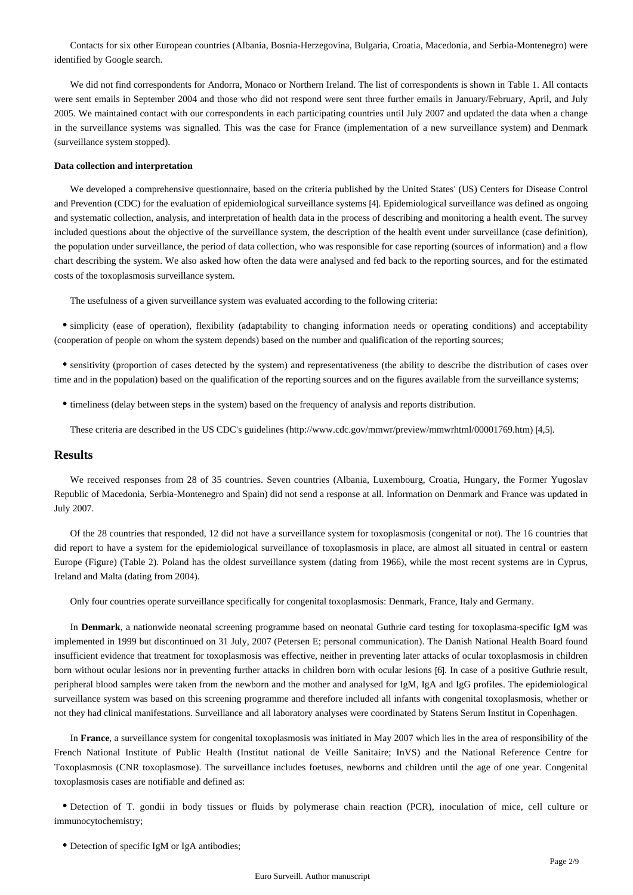Contacts for six other European countries (Albania, Bosnia-Herzegovina, Bulgaria, Croatia, Macedonia, and Serbia-Montenegro) were identified by Google search.

We did not find correspondents for Andorra, Monaco or Northern Ireland. The list of correspondents is shown in Table 1. All contacts were sent emails in September 2004 and those who did not respond were sent three further emails in January/February, April, and July 2005. We maintained contact with our correspondents in each participating countries until July 2007 and updated the data when a change in the surveillance systems was signalled. This was the case for France (implementation of a new surveillance system) and Denmark (surveillance system stopped).

#### **Data collection and interpretation**

We developed a comprehensive questionnaire, based on the criteria published by the United States' (US) Centers for Disease Control and Prevention (CDC) for the evaluation of epidemiological surveillance systems [4]. Epidemiological surveillance was defined as ongoing and systematic collection, analysis, and interpretation of health data in the process of describing and monitoring a health event. The survey included questions about the objective of the surveillance system, the description of the health event under surveillance (case definition), the population under surveillance, the period of data collection, who was responsible for case reporting (sources of information) and a flow chart describing the system. We also asked how often the data were analysed and fed back to the reporting sources, and for the estimated costs of the toxoplasmosis surveillance system.

The usefulness of a given surveillance system was evaluated according to the following criteria:

simplicity (ease of operation), flexibility (adaptability to changing information needs or operating conditions) and acceptability (cooperation of people on whom the system depends) based on the number and qualification of the reporting sources;

sensitivity (proportion of cases detected by the system) and representativeness (the ability to describe the distribution of cases over time and in the population) based on the qualification of the reporting sources and on the figures available from the surveillance systems;

- timeliness (delay between steps in the system) based on the frequency of analysis and reports distribution.
	- These criteria are described in the US CDC's guidelines (http://www.cdc.gov/mmwr/preview/mmwrhtml/00001769.htm) [4,5].

## **Results**

We received responses from 28 of 35 countries. Seven countries (Albania, Luxembourg, Croatia, Hungary, the Former Yugoslav Republic of Macedonia, Serbia-Montenegro and Spain) did not send a response at all. Information on Denmark and France was updated in July 2007.

Of the 28 countries that responded, 12 did not have a surveillance system for toxoplasmosis (congenital or not). The 16 countries that did report to have a system for the epidemiological surveillance of toxoplasmosis in place, are almost all situated in central or eastern Europe (Figure) (Table 2). Poland has the oldest surveillance system (dating from 1966), while the most recent systems are in Cyprus, Ireland and Malta (dating from 2004).

Only four countries operate surveillance specifically for congenital toxoplasmosis: Denmark, France, Italy and Germany.

In **Denmark**, a nationwide neonatal screening programme based on neonatal Guthrie card testing for toxoplasma-specific IgM was implemented in 1999 but discontinued on 31 July, 2007 (Petersen E; personal communication). The Danish National Health Board found insufficient evidence that treatment for toxoplasmosis was effective, neither in preventing later attacks of ocular toxoplasmosis in children born without ocular lesions nor in preventing further attacks in children born with ocular lesions [6]. In case of a positive Guthrie result, peripheral blood samples were taken from the newborn and the mother and analysed for IgM, IgA and IgG profiles. The epidemiological surveillance system was based on this screening programme and therefore included all infants with congenital toxoplasmosis, whether or not they had clinical manifestations. Surveillance and all laboratory analyses were coordinated by Statens Serum Institut in Copenhagen.

In **France**, a surveillance system for congenital toxoplasmosis was initiated in May 2007 which lies in the area of responsibility of the French National Institute of Public Health (Institut national de Veille Sanitaire; InVS) and the National Reference Centre for Toxoplasmosis (CNR toxoplasmose). The surveillance includes foetuses, newborns and children until the age of one year. Congenital toxoplasmosis cases are notifiable and defined as:

Detection of T. gondii in body tissues or fluids by polymerase chain reaction (PCR), inoculation of mice, cell culture or immunocytochemistry;

Detection of specific IgM or IgA antibodies;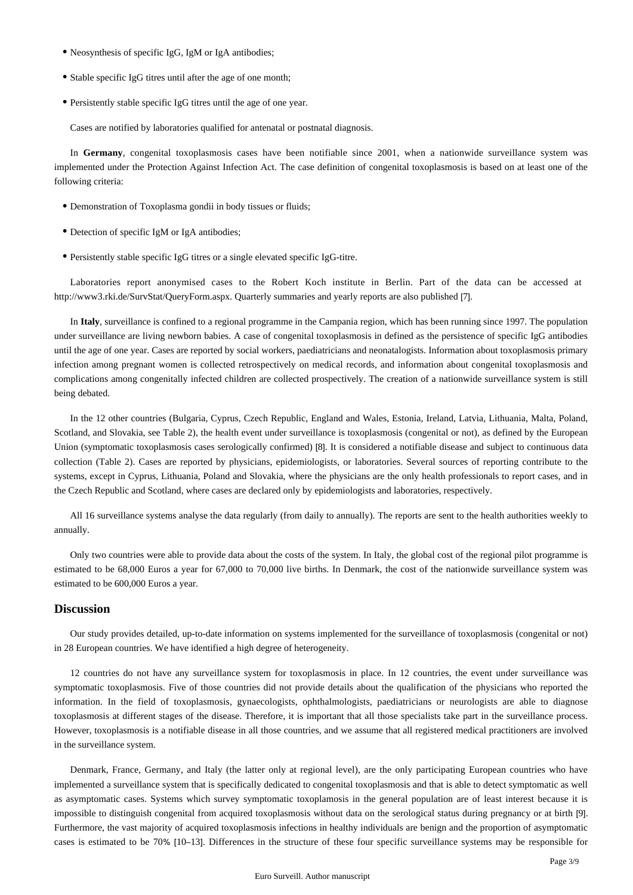- Neosynthesis of specific IgG, IgM or IgA antibodies;
- Stable specific IgG titres until after the age of one month:
- Persistently stable specific IgG titres until the age of one year.

Cases are notified by laboratories qualified for antenatal or postnatal diagnosis.

In Germany, congenital toxoplasmosis cases have been notifiable since 2001, when a nationwide surveillance system was implemented under the Protection Against Infection Act. The case definition of congenital toxoplasmosis is based on at least one of the following criteria:

- Demonstration of Toxoplasma gondii in body tissues or fluids;
- Detection of specific IgM or IgA antibodies;
- Persistently stable specific IgG titres or a single elevated specific IgG-titre.

Laboratories report anonymised cases to the Robert Koch institute in Berlin. Part of the data can be accessed at http://www3.rki.de/SurvStat/QueryForm.aspx. Quarterly summaries and yearly reports are also published [7].

In **Italy**, surveillance is confined to a regional programme in the Campania region, which has been running since 1997. The population under surveillance are living newborn babies. A case of congenital toxoplasmosis in defined as the persistence of specific IgG antibodies until the age of one year. Cases are reported by social workers, paediatricians and neonatalogists. Information about toxoplasmosis primary infection among pregnant women is collected retrospectively on medical records, and information about congenital toxoplasmosis and complications among congenitally infected children are collected prospectively. The creation of a nationwide surveillance system is still being debated.

In the 12 other countries (Bulgaria, Cyprus, Czech Republic, England and Wales, Estonia, Ireland, Latvia, Lithuania, Malta, Poland, Scotland, and Slovakia, see Table 2), the health event under surveillance is toxoplasmosis (congenital or not), as defined by the European Union (symptomatic toxoplasmosis cases serologically confirmed) [8]. It is considered a notifiable disease and subject to continuous data collection (Table 2). Cases are reported by physicians, epidemiologists, or laboratories. Several sources of reporting contribute to the systems, except in Cyprus, Lithuania, Poland and Slovakia, where the physicians are the only health professionals to report cases, and in the Czech Republic and Scotland, where cases are declared only by epidemiologists and laboratories, respectively.

All 16 surveillance systems analyse the data regularly (from daily to annually). The reports are sent to the health authorities weekly to annually.

Only two countries were able to provide data about the costs of the system. In Italy, the global cost of the regional pilot programme is estimated to be 68,000 Euros a year for 67,000 to 70,000 live births. In Denmark, the cost of the nationwide surveillance system was estimated to be 600,000 Euros a year.

#### **Discussion**

Our study provides detailed, up-to-date information on systems implemented for the surveillance of toxoplasmosis (congenital or not) in 28 European countries. We have identified a high degree of heterogeneity.

12 countries do not have any surveillance system for toxoplasmosis in place. In 12 countries, the event under surveillance was symptomatic toxoplasmosis. Five of those countries did not provide details about the qualification of the physicians who reported the information. In the field of toxoplasmosis, gynaecologists, ophthalmologists, paediatricians or neurologists are able to diagnose toxoplasmosis at different stages of the disease. Therefore, it is important that all those specialists take part in the surveillance process. However, toxoplasmosis is a notifiable disease in all those countries, and we assume that all registered medical practitioners are involved in the surveillance system.

Denmark, France, Germany, and Italy (the latter only at regional level), are the only participating European countries who have implemented a surveillance system that is specifically dedicated to congenital toxoplasmosis and that is able to detect symptomatic as well as asymptomatic cases. Systems which survey symptomatic toxoplamosis in the general population are of least interest because it is impossible to distinguish congenital from acquired toxoplasmosis without data on the serological status during pregnancy or at birth [9]. Furthermore, the vast majority of acquired toxoplasmosis infections in healthy individuals are benign and the proportion of asymptomatic cases is estimated to be 70% [10–13]. Differences in the structure of these four specific surveillance systems may be responsible for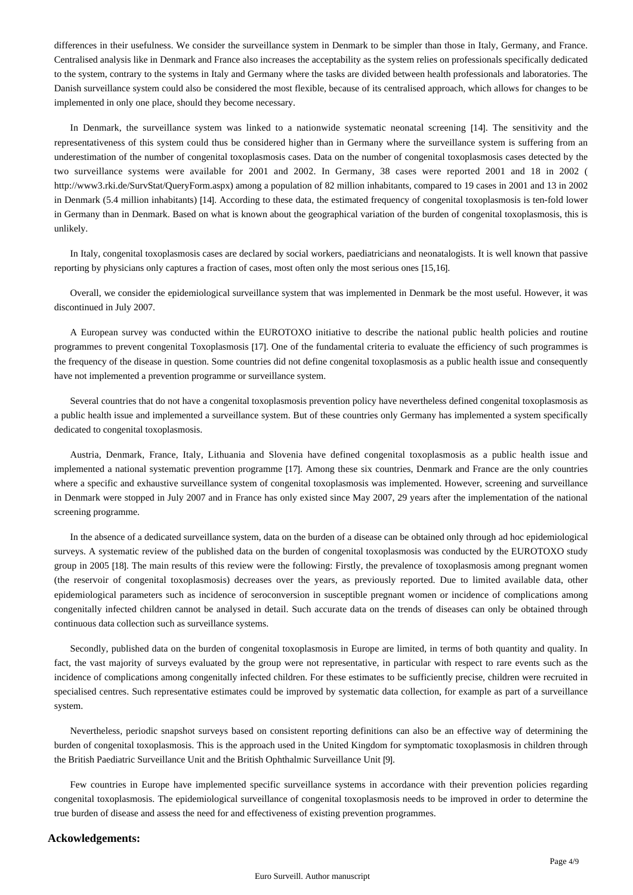differences in their usefulness. We consider the surveillance system in Denmark to be simpler than those in Italy, Germany, and France. Centralised analysis like in Denmark and France also increases the acceptability as the system relies on professionals specifically dedicated to the system, contrary to the systems in Italy and Germany where the tasks are divided between health professionals and laboratories. The Danish surveillance system could also be considered the most flexible, because of its centralised approach, which allows for changes to be implemented in only one place, should they become necessary.

In Denmark, the surveillance system was linked to a nationwide systematic neonatal screening [14]. The sensitivity and the representativeness of this system could thus be considered higher than in Germany where the surveillance system is suffering from an underestimation of the number of congenital toxoplasmosis cases. Data on the number of congenital toxoplasmosis cases detected by the two surveillance systems were available for 2001 and 2002. In Germany, 38 cases were reported 2001 and 18 in 2002 ( http://www3.rki.de/SurvStat/QueryForm.aspx) among a population of 82 million inhabitants, compared to 19 cases in 2001 and 13 in 2002 in Denmark (5.4 million inhabitants) [14]. According to these data, the estimated frequency of congenital toxoplasmosis is ten-fold lower in Germany than in Denmark. Based on what is known about the geographical variation of the burden of congenital toxoplasmosis, this is unlikely.

In Italy, congenital toxoplasmosis cases are declared by social workers, paediatricians and neonatalogists. It is well known that passive reporting by physicians only captures a fraction of cases, most often only the most serious ones [15,16].

Overall, we consider the epidemiological surveillance system that was implemented in Denmark be the most useful. However, it was discontinued in July 2007.

A European survey was conducted within the EUROTOXO initiative to describe the national public health policies and routine programmes to prevent congenital Toxoplasmosis [17]. One of the fundamental criteria to evaluate the efficiency of such programmes is the frequency of the disease in question. Some countries did not define congenital toxoplasmosis as a public health issue and consequently have not implemented a prevention programme or surveillance system.

Several countries that do not have a congenital toxoplasmosis prevention policy have nevertheless defined congenital toxoplasmosis as a public health issue and implemented a surveillance system. But of these countries only Germany has implemented a system specifically dedicated to congenital toxoplasmosis.

Austria, Denmark, France, Italy, Lithuania and Slovenia have defined congenital toxoplasmosis as a public health issue and implemented a national systematic prevention programme [17]. Among these six countries, Denmark and France are the only countries where a specific and exhaustive surveillance system of congenital toxoplasmosis was implemented. However, screening and surveillance in Denmark were stopped in July 2007 and in France has only existed since May 2007, 29 years after the implementation of the national screening programme.

In the absence of a dedicated surveillance system, data on the burden of a disease can be obtained only through ad hoc epidemiological surveys. A systematic review of the published data on the burden of congenital toxoplasmosis was conducted by the EUROTOXO study group in 2005 [18]. The main results of this review were the following: Firstly, the prevalence of toxoplasmosis among pregnant women (the reservoir of congenital toxoplasmosis) decreases over the years, as previously reported. Due to limited available data, other epidemiological parameters such as incidence of seroconversion in susceptible pregnant women or incidence of complications among congenitally infected children cannot be analysed in detail. Such accurate data on the trends of diseases can only be obtained through continuous data collection such as surveillance systems.

Secondly, published data on the burden of congenital toxoplasmosis in Europe are limited, in terms of both quantity and quality. In fact, the vast majority of surveys evaluated by the group were not representative, in particular with respect to rare events such as the incidence of complications among congenitally infected children. For these estimates to be sufficiently precise, children were recruited in specialised centres. Such representative estimates could be improved by systematic data collection, for example as part of a surveillance system.

Nevertheless, periodic snapshot surveys based on consistent reporting definitions can also be an effective way of determining the burden of congenital toxoplasmosis. This is the approach used in the United Kingdom for symptomatic toxoplasmosis in children through the British Paediatric Surveillance Unit and the British Ophthalmic Surveillance Unit [9].

Few countries in Europe have implemented specific surveillance systems in accordance with their prevention policies regarding congenital toxoplasmosis. The epidemiological surveillance of congenital toxoplasmosis needs to be improved in order to determine the true burden of disease and assess the need for and effectiveness of existing prevention programmes.

## **Ackowledgements:**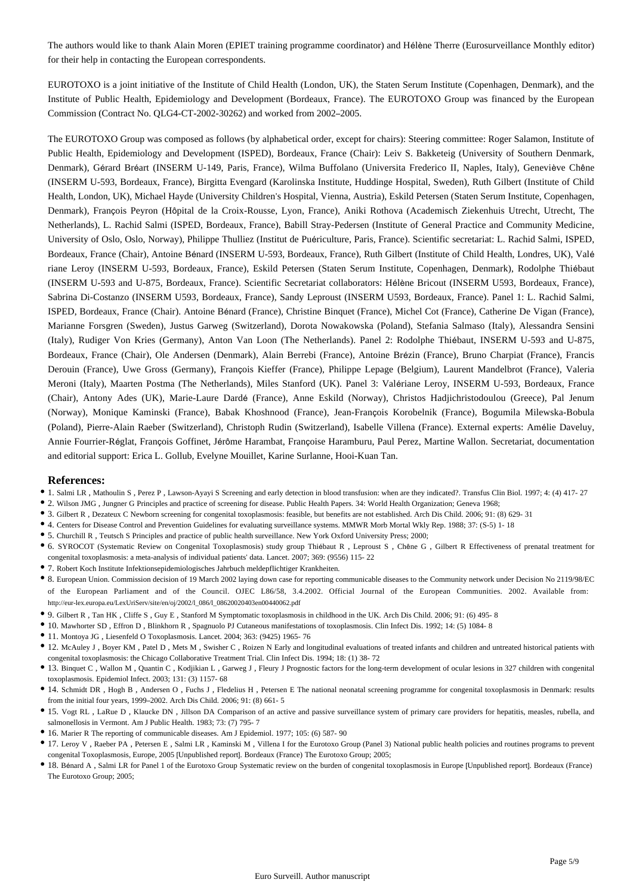The authors would like to thank Alain Moren (EPIET training programme coordinator) and Hélène Therre (Eurosurveillance Monthly editor) for their help in contacting the European correspondents.

EUROTOXO is a joint initiative of the Institute of Child Health (London, UK), the Staten Serum Institute (Copenhagen, Denmark), and the Institute of Public Health, Epidemiology and Development (Bordeaux, France). The EUROTOXO Group was financed by the European Commission (Contract No. QLG4-CT-2002-30262) and worked from 2002–2005.

The EUROTOXO Group was composed as follows (by alphabetical order, except for chairs): Steering committee: Roger Salamon, Institute of Public Health, Epidemiology and Development (ISPED), Bordeaux, France (Chair): Leiv S. Bakketeig (University of Southern Denmark, Denmark), Gérard Bréart (INSERM U-149, Paris, France), Wilma Buffolano (Universita Frederico II, Naples, Italy), Geneviève Chêne (INSERM U-593, Bordeaux, France), Birgitta Evengard (Karolinska Institute, Huddinge Hospital, Sweden), Ruth Gilbert (Institute of Child Health, London, UK), Michael Hayde (University Children's Hospital, Vienna, Austria), Eskild Petersen (Staten Serum Institute, Copenhagen, Denmark), François Peyron (Hôpital de la Croix-Rousse, Lyon, France), Aniki Rothova (Academisch Ziekenhuis Utrecht, Utrecht, The Netherlands), L. Rachid Salmi (ISPED, Bordeaux, France), Babill Stray-Pedersen (Institute of General Practice and Community Medicine, University of Oslo, Oslo, Norway), Philippe Thulliez (Institut de Puériculture, Paris, France). Scientific secretariat: L. Rachid Salmi, ISPED, Bordeaux, France (Chair), Antoine Bénard (INSERM U-593, Bordeaux, France), Ruth Gilbert (Institute of Child Health, Londres, UK), Valé riane Leroy (INSERM U-593, Bordeaux, France), Eskild Petersen (Staten Serum Institute, Copenhagen, Denmark), Rodolphe Thiébaut (INSERM U-593 and U-875, Bordeaux, France). Scientific Secretariat collaborators: Hélène Bricout (INSERM U593, Bordeaux, France), Sabrina Di-Costanzo (INSERM U593, Bordeaux, France), Sandy Leproust (INSERM U593, Bordeaux, France). Panel 1: L. Rachid Salmi, ISPED, Bordeaux, France (Chair). Antoine Bénard (France), Christine Binquet (France), Michel Cot (France), Catherine De Vigan (France), Marianne Forsgren (Sweden), Justus Garweg (Switzerland), Dorota Nowakowska (Poland), Stefania Salmaso (Italy), Alessandra Sensini (Italy), Rudiger Von Kries (Germany), Anton Van Loon (The Netherlands). Panel 2: Rodolphe Thiébaut, INSERM U-593 and U-875, Bordeaux, France (Chair), Ole Andersen (Denmark), Alain Berrebi (France), Antoine Brézin (France), Bruno Charpiat (France), Francis Derouin (France), Uwe Gross (Germany), François Kieffer (France), Philippe Lepage (Belgium), Laurent Mandelbrot (France), Valeria Meroni (Italy), Maarten Postma (The Netherlands), Miles Stanford (UK). Panel 3: Valériane Leroy, INSERM U-593, Bordeaux, France (Chair), Antony Ades (UK), Marie-Laure Dardé (France), Anne Eskild (Norway), Christos Hadjichristodoulou (Greece), Pal Jenum (Norway), Monique Kaminski (France), Babak Khoshnood (France), Jean-François Korobelnik (France), Bogumila Milewska-Bobula (Poland), Pierre-Alain Raeber (Switzerland), Christoph Rudin (Switzerland), Isabelle Villena (France). External experts: Amélie Daveluy, Annie Fourrier-Réglat, François Goffinet, Jérôme Harambat, Françoise Haramburu, Paul Perez, Martine Wallon. Secretariat, documentation and editorial support: Erica L. Gollub, Evelyne Mouillet, Karine Surlanne, Hooi-Kuan Tan.

#### **References:**

- 1. Salmi LR , Mathoulin S , Perez P , Lawson-Ayayi S Screening and early detection in blood transfusion: when are they indicated?. Transfus Clin Biol. 1997; 4: (4) 417- 27
- 2. Wilson JMG , Jungner G Principles and practice of screening for disease. Public Health Papers. 34: World Health Organization; Geneva 1968;
- 3. Gilbert R , Dezateux C Newborn screening for congenital toxoplasmosis: feasible, but benefits are not established. Arch Dis Child. 2006; 91: (8) 629- 31
- 4. Centers for Disease Control and Prevention Guidelines for evaluating surveillance systems. MMWR Morb Mortal Wkly Rep. 1988; 37: (S-5) 1- 18
- 5. Churchill R , Teutsch S Principles and practice of public health surveillance. New York Oxford University Press; 2000;
- 6. SYROCOT (Systematic Review on Congenital Toxoplasmosis) study group Thiébaut R , Leproust S , Chêne G , Gilbert R Effectiveness of prenatal treatment for congenital toxoplasmosis: a meta-analysis of individual patients' data. Lancet. 2007; 369: (9556) 115- 22
- 7. Robert Koch Institute Infektionsepidemiologisches Jahrbuch meldepflichtiger Krankheiten.
- 8. European Union. Commission decision of 19 March 2002 laying down case for reporting communicable diseases to the Community network under Decision No 2119/98/EC of the European Parliament and of the Council. OJEC L86/58, 3.4.2002. Official Journal of the European Communities. 2002. Available from: http://eur-lex.europa.eu/LexUriServ/site/en/oj/2002/l\_086/l\_08620020403en00440062.pdf
- 9. Gilbert R , Tan HK , Cliffe S , Guy E , Stanford M Symptomatic toxoplasmosis in childhood in the UK. Arch Dis Child. 2006; 91: (6) 495- 8
- 10. Mawhorter SD , Effron D , Blinkhorn R , Spagnuolo PJ Cutaneous manifestations of toxoplasmosis. Clin Infect Dis. 1992; 14: (5) 1084- 8
- 11. Montoya JG , Liesenfeld O Toxoplasmosis. Lancet. 2004; 363: (9425) 1965- 76
- 12. McAuley J , Boyer KM , Patel D , Mets M , Swisher C , Roizen N Early and longitudinal evaluations of treated infants and children and untreated historical patients with congenital toxoplasmosis: the Chicago Collaborative Treatment Trial. Clin Infect Dis. 1994; 18: (1) 38- 72
- 13. Binquet C , Wallon M , Quantin C , Kodjikian L , Garweg J , Fleury J Prognostic factors for the long-term development of ocular lesions in 327 children with congenital toxoplasmosis. Epidemiol Infect. 2003; 131: (3) 1157- 68
- 14. Schmidt DR , Hogh B , Andersen O , Fuchs J , Fledelius H , Petersen E The national neonatal screening programme for congenital toxoplasmosis in Denmark: results from the initial four years, 1999–2002. Arch Dis Child. 2006; 91: (8) 661- 5
- 15. Vogt RL , LaRue D , Klaucke DN , Jillson DA Comparison of an active and passive surveillance system of primary care providers for hepatitis, measles, rubella, and salmonellosis in Vermont. Am J Public Health. 1983; 73: (7) 795- 7
- 16. Marier R The reporting of communicable diseases. Am J Epidemiol. 1977; 105: (6) 587- 90
- 17. Leroy V , Raeber PA , Petersen E , Salmi LR , Kaminski M , Villena I for the Eurotoxo Group (Panel 3) National public health policies and routines programs to prevent congenital Toxoplasmosis, Europe, 2005 [Unpublished report]. Bordeaux (France) The Eurotoxo Group; 2005;
- 18. Bénard A , Salmi LR for Panel 1 of the Eurotoxo Group Systematic review on the burden of congenital toxoplasmosis in Europe [Unpublished report]. Bordeaux (France) The Eurotoxo Group; 2005;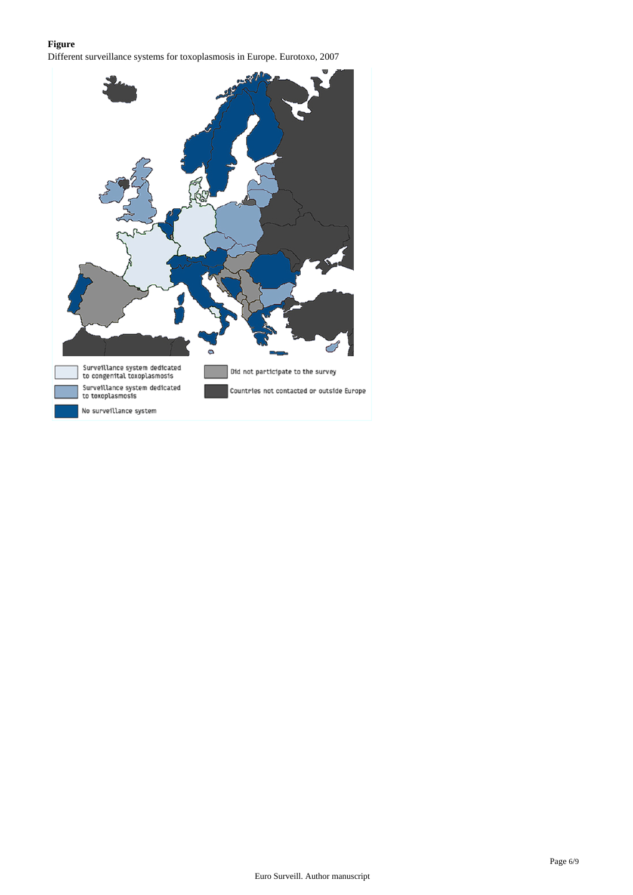## **Figure**

Different surveillance systems for toxoplasmosis in Europe. Eurotoxo, 2007

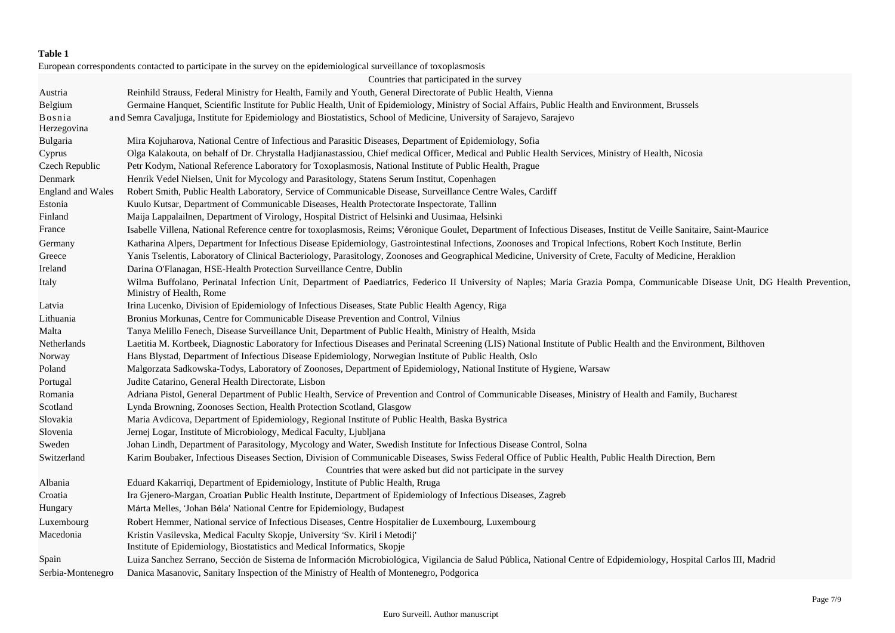## **Table 1**

European correspondents contacted to participate in the survey on the epidemiological surveillance of toxoplasmosis

|                          | Countries that participated in the survey                                                                                                                                                                |
|--------------------------|----------------------------------------------------------------------------------------------------------------------------------------------------------------------------------------------------------|
| Austria                  | Reinhild Strauss, Federal Ministry for Health, Family and Youth, General Directorate of Public Health, Vienna                                                                                            |
| Belgium                  | Germaine Hanquet, Scientific Institute for Public Health, Unit of Epidemiology, Ministry of Social Affairs, Public Health and Environment, Brussels                                                      |
| Bosnia<br>Herzegovina    | and Semra Cavaljuga, Institute for Epidemiology and Biostatistics, School of Medicine, University of Sarajevo, Sarajevo                                                                                  |
| Bulgaria                 | Mira Kojuharova, National Centre of Infectious and Parasitic Diseases, Department of Epidemiology, Sofia                                                                                                 |
| Cyprus                   | Olga Kalakouta, on behalf of Dr. Chrystalla Hadjianastassiou, Chief medical Officer, Medical and Public Health Services, Ministry of Health, Nicosia                                                     |
| Czech Republic           | Petr Kodym, National Reference Laboratory for Toxoplasmosis, National Institute of Public Health, Prague                                                                                                 |
| Denmark                  | Henrik Vedel Nielsen, Unit for Mycology and Parasitology, Statens Serum Institut, Copenhagen                                                                                                             |
| <b>England and Wales</b> | Robert Smith, Public Health Laboratory, Service of Communicable Disease, Surveillance Centre Wales, Cardiff                                                                                              |
| Estonia                  | Kuulo Kutsar, Department of Communicable Diseases, Health Protectorate Inspectorate, Tallinn                                                                                                             |
| Finland                  | Maija Lappalailnen, Department of Virology, Hospital District of Helsinki and Uusimaa, Helsinki                                                                                                          |
| France                   | Isabelle Villena, National Reference centre for toxoplasmosis, Reims; Véronique Goulet, Department of Infectious Diseases, Institut de Veille Sanitaire, Saint-Maurice                                   |
| Germany                  | Katharina Alpers, Department for Infectious Disease Epidemiology, Gastrointestinal Infections, Zoonoses and Tropical Infections, Robert Koch Institute, Berlin                                           |
| Greece                   | Yanis Tselentis, Laboratory of Clinical Bacteriology, Parasitology, Zoonoses and Geographical Medicine, University of Crete, Faculty of Medicine, Heraklion                                              |
| Ireland                  | Darina O'Flanagan, HSE-Health Protection Surveillance Centre, Dublin                                                                                                                                     |
| Italy                    | Wilma Buffolano, Perinatal Infection Unit, Department of Paediatrics, Federico II University of Naples; Maria Grazia Pompa, Communicable Disease Unit, DG Health Prevention,<br>Ministry of Health, Rome |
| Latvia                   | Irina Lucenko, Division of Epidemiology of Infectious Diseases, State Public Health Agency, Riga                                                                                                         |
| Lithuania                | Bronius Morkunas, Centre for Communicable Disease Prevention and Control, Vilnius                                                                                                                        |
| Malta                    | Tanya Melillo Fenech, Disease Surveillance Unit, Department of Public Health, Ministry of Health, Msida                                                                                                  |
| Netherlands              | Laetitia M. Kortbeek, Diagnostic Laboratory for Infectious Diseases and Perinatal Screening (LIS) National Institute of Public Health and the Environment, Bilthoven                                     |
| Norway                   | Hans Blystad, Department of Infectious Disease Epidemiology, Norwegian Institute of Public Health, Oslo                                                                                                  |
| Poland                   | Malgorzata Sadkowska-Todys, Laboratory of Zoonoses, Department of Epidemiology, National Institute of Hygiene, Warsaw                                                                                    |
| Portugal                 | Judite Catarino, General Health Directorate, Lisbon                                                                                                                                                      |
| Romania                  | Adriana Pistol, General Department of Public Health, Service of Prevention and Control of Communicable Diseases, Ministry of Health and Family, Bucharest                                                |
| Scotland                 | Lynda Browning, Zoonoses Section, Health Protection Scotland, Glasgow                                                                                                                                    |
| Slovakia                 | Maria Avdicova, Department of Epidemiology, Regional Institute of Public Health, Baska Bystrica                                                                                                          |
| Slovenia                 | Jernej Logar, Institute of Microbiology, Medical Faculty, Ljubljana                                                                                                                                      |
| Sweden                   | Johan Lindh, Department of Parasitology, Mycology and Water, Swedish Institute for Infectious Disease Control, Solna                                                                                     |
| Switzerland              | Karim Boubaker, Infectious Diseases Section, Division of Communicable Diseases, Swiss Federal Office of Public Health, Public Health Direction, Bern                                                     |
|                          | Countries that were asked but did not participate in the survey                                                                                                                                          |
| Albania                  | Eduard Kakarriqi, Department of Epidemiology, Institute of Public Health, Rruga                                                                                                                          |
| Croatia                  | Ira Gjenero-Margan, Croatian Public Health Institute, Department of Epidemiology of Infectious Diseases, Zagreb                                                                                          |
| Hungary                  | Márta Melles, 'Johan Béla' National Centre for Epidemiology, Budapest                                                                                                                                    |
| Luxembourg               | Robert Hemmer, National service of Infectious Diseases, Centre Hospitalier de Luxembourg, Luxembourg                                                                                                     |
| Macedonia                | Kristin Vasilevska, Medical Faculty Skopje, University 'Sv. Kiril i Metodij'<br>Institute of Epidemiology, Biostatistics and Medical Informatics, Skopje                                                 |
| Spain                    | Luiza Sanchez Serrano, Sección de Sistema de Información Microbiológica, Vigilancia de Salud Pública, National Centre of Edpidemiology, Hospital Carlos III, Madrid                                      |
| Serbia-Montenegro        | Danica Masanovic, Sanitary Inspection of the Ministry of Health of Montenegro, Podgorica                                                                                                                 |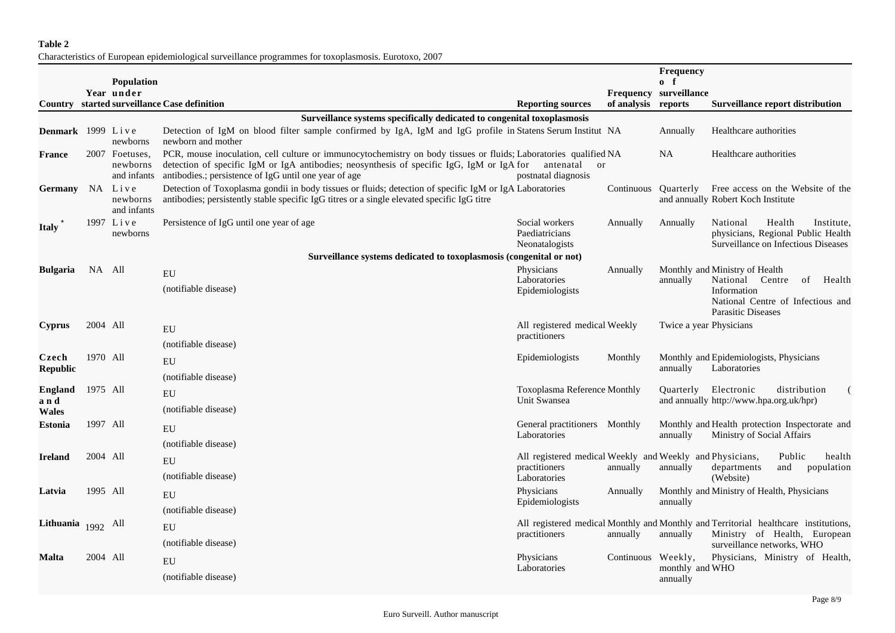## **Table 2**

Characteristics of European epidemiological surveillance programmes for toxoplasmosis. Eurotoxo, 2007

|                         |          |                                           |                                                                                                                                                                                                                                                                        |                                                                                           |                     | <b>Frequency</b>                      |                                                                                                                                                   |
|-------------------------|----------|-------------------------------------------|------------------------------------------------------------------------------------------------------------------------------------------------------------------------------------------------------------------------------------------------------------------------|-------------------------------------------------------------------------------------------|---------------------|---------------------------------------|---------------------------------------------------------------------------------------------------------------------------------------------------|
|                         |          | <b>Population</b><br>Year under           |                                                                                                                                                                                                                                                                        |                                                                                           |                     | $0 \quad f$<br>Frequency surveillance |                                                                                                                                                   |
|                         |          |                                           | <b>Country</b> started surveillance Case definition                                                                                                                                                                                                                    | <b>Reporting sources</b>                                                                  | of analysis reports |                                       | <b>Surveillance report distribution</b>                                                                                                           |
|                         |          |                                           | Surveillance systems specifically dedicated to congenital toxoplasmosis                                                                                                                                                                                                |                                                                                           |                     |                                       |                                                                                                                                                   |
| Denmark 1999 Live       |          | newborns                                  | Detection of IgM on blood filter sample confirmed by IgA, IgM and IgG profile in Statens Serum Institut NA<br>newborn and mother                                                                                                                                       |                                                                                           |                     | Annually                              | Healthcare authorities                                                                                                                            |
| <b>France</b>           |          | 2007 Foetuses,<br>newborns<br>and infants | PCR, mouse inoculation, cell culture or immunocytochemistry on body tissues or fluids; Laboratories qualified NA<br>detection of specific IgM or IgA antibodies; neosynthesis of specific IgG, IgM or IgA for<br>antibodies.; persistence of IgG until one year of age | antenatal<br>or<br>postnatal diagnosis                                                    |                     | <b>NA</b>                             | Healthcare authorities                                                                                                                            |
| <b>Germany</b>          |          | NA Live<br>newborns<br>and infants        | Detection of Toxoplasma gondii in body tissues or fluids; detection of specific IgM or IgA Laboratories<br>antibodies; persistently stable specific IgG titres or a single elevated specific IgG titre                                                                 |                                                                                           |                     |                                       | Continuous Quarterly Free access on the Website of the<br>and annually Robert Koch Institute                                                      |
| <b>Italy</b>            |          | 1997 Live<br>newborns                     | Persistence of IgG until one year of age                                                                                                                                                                                                                               | Social workers<br>Paediatricians<br>Neonatalogists                                        | Annually            | Annually                              | Health<br>National<br>Institute,<br>physicians, Regional Public Health<br>Surveillance on Infectious Diseases                                     |
|                         |          |                                           | Surveillance systems dedicated to toxoplasmosis (congenital or not)                                                                                                                                                                                                    |                                                                                           |                     |                                       |                                                                                                                                                   |
| <b>Bulgaria</b>         | NA All   |                                           | EU<br>(notifiable disease)                                                                                                                                                                                                                                             | Physicians<br>Laboratories<br>Epidemiologists                                             | Annually            | annually                              | Monthly and Ministry of Health<br>National<br>Centre<br>of<br>Health<br>Information<br>National Centre of Infectious and                          |
|                         |          |                                           |                                                                                                                                                                                                                                                                        |                                                                                           |                     | Twice a year Physicians               | <b>Parasitic Diseases</b>                                                                                                                         |
| <b>Cyprus</b>           | 2004 All |                                           | EU                                                                                                                                                                                                                                                                     | All registered medical Weekly<br>practitioners                                            |                     |                                       |                                                                                                                                                   |
| Czech                   | 1970 All |                                           | (notifiable disease)                                                                                                                                                                                                                                                   | Epidemiologists                                                                           | Monthly             |                                       | Monthly and Epidemiologists, Physicians                                                                                                           |
| <b>Republic</b>         |          |                                           | ${\rm EU}$                                                                                                                                                                                                                                                             |                                                                                           |                     | annually                              | Laboratories                                                                                                                                      |
| England                 | 1975 All |                                           | (notifiable disease)                                                                                                                                                                                                                                                   | <b>Toxoplasma Reference Monthly</b>                                                       |                     | Quarterly                             | Electronic<br>distribution                                                                                                                        |
| and                     |          |                                           | EU                                                                                                                                                                                                                                                                     | Unit Swansea                                                                              |                     |                                       | and annually http://www.hpa.org.uk/hpr)                                                                                                           |
| <b>Wales</b>            |          |                                           | (notifiable disease)                                                                                                                                                                                                                                                   |                                                                                           |                     |                                       |                                                                                                                                                   |
| <b>Estonia</b>          | 1997 All |                                           | EU                                                                                                                                                                                                                                                                     | General practitioners Monthly<br>Laboratories                                             |                     | annually                              | Monthly and Health protection Inspectorate and<br>Ministry of Social Affairs                                                                      |
|                         |          |                                           | (notifiable disease)                                                                                                                                                                                                                                                   |                                                                                           |                     |                                       |                                                                                                                                                   |
| <b>Ireland</b>          | 2004 All |                                           | EU                                                                                                                                                                                                                                                                     | All registered medical Weekly and Weekly and Physicians,<br>practitioners<br>Laboratories | annually            | annually                              | Public<br>health<br>departments<br>and<br>population<br>(Website)                                                                                 |
|                         |          |                                           | (notifiable disease)                                                                                                                                                                                                                                                   |                                                                                           |                     |                                       |                                                                                                                                                   |
| Latvia                  |          | 1995 All                                  | EU                                                                                                                                                                                                                                                                     | Physicians<br>Epidemiologists                                                             | Annually            | annually                              | Monthly and Ministry of Health, Physicians                                                                                                        |
|                         |          |                                           | (notifiable disease)                                                                                                                                                                                                                                                   |                                                                                           |                     |                                       |                                                                                                                                                   |
| Lithuania $_{1992}$ All |          |                                           | EU                                                                                                                                                                                                                                                                     | practitioners                                                                             | annually            | annually                              | All registered medical Monthly and Monthly and Territorial healthcare institutions,<br>Ministry of Health, European<br>surveillance networks, WHO |
|                         |          |                                           | (notifiable disease)                                                                                                                                                                                                                                                   |                                                                                           |                     |                                       |                                                                                                                                                   |
| <b>Malta</b>            | 2004 All |                                           | EU                                                                                                                                                                                                                                                                     | Physicians<br>Laboratories                                                                | Continuous Weekly,  | monthly and WHO<br>annually           | Physicians, Ministry of Health,                                                                                                                   |
|                         |          |                                           | (notifiable disease)                                                                                                                                                                                                                                                   |                                                                                           |                     |                                       |                                                                                                                                                   |